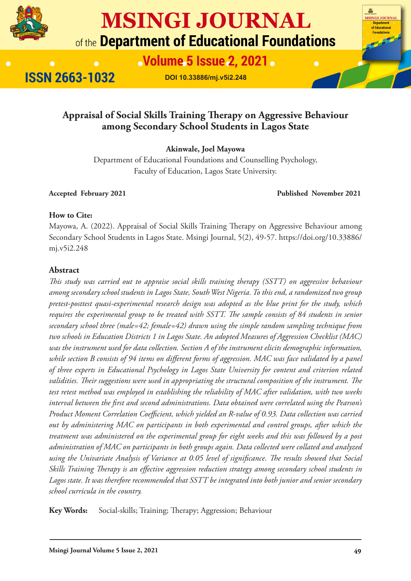

# **MSINGI JOURNAL** of the Department of Educational Foundations

**Nolume 5 Issue 2, 2021.** 

**ISSN 2663-1032** 

**DOI 10.33886/mj.v5i2.248**

# **Appraisal of Social Skills Training Therapy on Aggressive Behaviour among Secondary School Students in Lagos State**

**Akinwale, Joel Mayowa**

Department of Educational Foundations and Counselling Psychology, Faculty of Education, Lagos State University.

**Accepted February 2021 Published November 2021**

Department<br>f Educational Enundations

#### **How to Cite:**

Mayowa, A. (2022). Appraisal of Social Skills Training Therapy on Aggressive Behaviour among Secondary School Students in Lagos State. Msingi Journal, 5(2), 49-57. https://doi.org/10.33886/ mj.v5i2.248

#### **Abstract**

*This study was carried out to appraise social skills training therapy (SSTT) on aggressive behaviour among secondary school students in Lagos State, South West Nigeria. To this end, a randomized two group pretest-posttest quasi-experimental research design was adopted as the blue print for the study, which requires the experimental group to be treated with SSTT. The sample consists of 84 students in senior secondary school three (male=42; female=42) drawn using the simple random sampling technique from two schools in Education Districts 1 in Lagos State. An adopted Measures of Aggression Checklist (MAC) was the instrument used for data collection. Section A of the instrument elicits demographic information, while section B consists of 94 items on different forms of aggression. MAC was face validated by a panel of three experts in Educational Psychology in Lagos State University for content and criterion related validities. Their suggestions were used in appropriating the structural composition of the instrument. The test retest method was employed in establishing the reliability of MAC after validation, with two weeks interval between the first and second administrations. Data obtained were correlated using the Pearson's Product Moment Correlation Coefficient, which yielded an R-value of 0.93. Data collection was carried out by administering MAC on participants in both experimental and control groups, after which the treatment was administered on the experimental group for eight weeks and this was followed by a post administration of MAC on participants in both groups again. Data collected were collated and analyzed using the Univariate Analysis of Variance at 0.05 level of significance. The results showed that Social Skills Training Therapy is an effective aggression reduction strategy among secondary school students in Lagos state. It was therefore recommended that SSTT be integrated into both junior and senior secondary school curricula in the country.*

**Key Words:** Social-skills; Training; Therapy; Aggression; Behaviour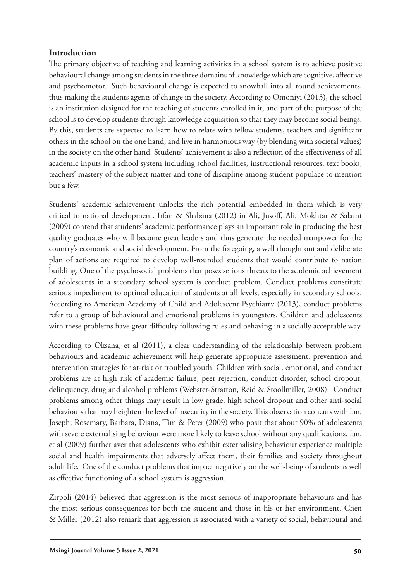#### **Introduction**

The primary objective of teaching and learning activities in a school system is to achieve positive behavioural change among students in the three domains of knowledge which are cognitive, affective and psychomotor. Such behavioural change is expected to snowball into all round achievements, thus making the students agents of change in the society. According to Omoniyi (2013), the school is an institution designed for the teaching of students enrolled in it, and part of the purpose of the school is to develop students through knowledge acquisition so that they may become social beings. By this, students are expected to learn how to relate with fellow students, teachers and significant others in the school on the one hand, and live in harmonious way (by blending with societal values) in the society on the other hand. Students' achievement is also a reflection of the effectiveness of all academic inputs in a school system including school facilities, instructional resources, text books, teachers' mastery of the subject matter and tone of discipline among student populace to mention but a few.

Students' academic achievement unlocks the rich potential embedded in them which is very critical to national development. Irfan & Shabana (2012) in Ali, Jusoff, Ali, Mokhtar & Salamt (2009) contend that students' academic performance plays an important role in producing the best quality graduates who will become great leaders and thus generate the needed manpower for the country's economic and social development. From the foregoing, a well thought out and deliberate plan of actions are required to develop well-rounded students that would contribute to nation building. One of the psychosocial problems that poses serious threats to the academic achievement of adolescents in a secondary school system is conduct problem. Conduct problems constitute serious impediment to optimal education of students at all levels, especially in secondary schools. According to American Academy of Child and Adolescent Psychiatry (2013), conduct problems refer to a group of behavioural and emotional problems in youngsters. Children and adolescents with these problems have great difficulty following rules and behaving in a socially acceptable way.

According to Oksana, et al (2011), a clear understanding of the relationship between problem behaviours and academic achievement will help generate appropriate assessment, prevention and intervention strategies for at-risk or troubled youth. Children with social, emotional, and conduct problems are at high risk of academic failure, peer rejection, conduct disorder, school dropout, delinquency, drug and alcohol problems (Webster-Stratton, Reid & Stoollmiller, 2008). Conduct problems among other things may result in low grade, high school dropout and other anti-social behaviours that may heighten the level of insecurity in the society. This observation concurs with Ian, Joseph, Rosemary, Barbara, Diana, Tim & Peter (2009) who posit that about 90% of adolescents with severe externalising behaviour were more likely to leave school without any qualifications. Ian, et al (2009) further aver that adolescents who exhibit externalising behaviour experience multiple social and health impairments that adversely affect them, their families and society throughout adult life. One of the conduct problems that impact negatively on the well-being of students as well as effective functioning of a school system is aggression.

Zirpoli (2014) believed that aggression is the most serious of inappropriate behaviours and has the most serious consequences for both the student and those in his or her environment. Chen & Miller (2012) also remark that aggression is associated with a variety of social, behavioural and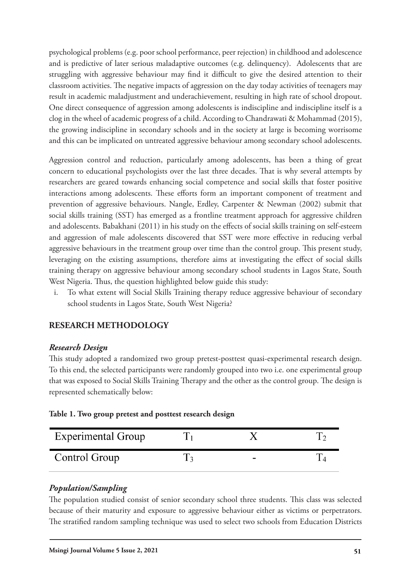psychological problems (e.g. poor school performance, peer rejection) in childhood and adolescence and is predictive of later serious maladaptive outcomes (e.g. delinquency). Adolescents that are struggling with aggressive behaviour may find it difficult to give the desired attention to their classroom activities. The negative impacts of aggression on the day today activities of teenagers may result in academic maladjustment and underachievement, resulting in high rate of school dropout. One direct consequence of aggression among adolescents is indiscipline and indiscipline itself is a clog in the wheel of academic progress of a child. According to Chandrawati & Mohammad (2015), the growing indiscipline in secondary schools and in the society at large is becoming worrisome and this can be implicated on untreated aggressive behaviour among secondary school adolescents.

Aggression control and reduction, particularly among adolescents, has been a thing of great concern to educational psychologists over the last three decades. That is why several attempts by researchers are geared towards enhancing social competence and social skills that foster positive interactions among adolescents. These efforts form an important component of treatment and prevention of aggressive behaviours. Nangle, Erdley, Carpenter & Newman (2002) submit that social skills training (SST) has emerged as a frontline treatment approach for aggressive children and adolescents. Babakhani (2011) in his study on the effects of social skills training on self-esteem and aggression of male adolescents discovered that SST were more effective in reducing verbal aggressive behaviours in the treatment group over time than the control group. This present study, leveraging on the existing assumptions, therefore aims at investigating the effect of social skills training therapy on aggressive behaviour among secondary school students in Lagos State, South West Nigeria. Thus, the question highlighted below guide this study:

i. To what extent will Social Skills Training therapy reduce aggressive behaviour of secondary school students in Lagos State, South West Nigeria?

# **RESEARCH METHODOLOGY**

## *Research Design*

This study adopted a randomized two group pretest-posttest quasi-experimental research design. To this end, the selected participants were randomly grouped into two i.e. one experimental group that was exposed to Social Skills Training Therapy and the other as the control group. The design is represented schematically below:

|  |  |  | Table 1. Two group pretest and posttest research design |  |  |  |
|--|--|--|---------------------------------------------------------|--|--|--|
|--|--|--|---------------------------------------------------------|--|--|--|

| <b>Experimental Group</b> |                          |  |
|---------------------------|--------------------------|--|
| Control Group             | $\overline{\phantom{a}}$ |  |

## *Population/Sampling*

The population studied consist of senior secondary school three students. This class was selected because of their maturity and exposure to aggressive behaviour either as victims or perpetrators. The stratified random sampling technique was used to select two schools from Education Districts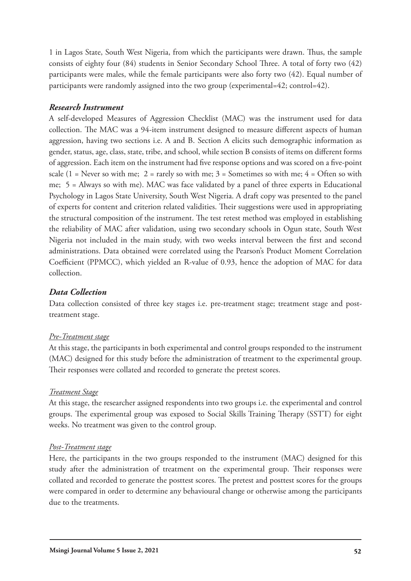1 in Lagos State, South West Nigeria, from which the participants were drawn. Thus, the sample consists of eighty four (84) students in Senior Secondary School Three. A total of forty two (42) participants were males, while the female participants were also forty two (42). Equal number of participants were randomly assigned into the two group (experimental=42; control=42).

#### *Research Instrument*

A self-developed Measures of Aggression Checklist (MAC) was the instrument used for data collection. The MAC was a 94-item instrument designed to measure different aspects of human aggression, having two sections i.e. A and B. Section A elicits such demographic information as gender, status, age, class, state, tribe, and school, while section B consists of items on different forms of aggression. Each item on the instrument had five response options and was scored on a five-point scale (1 = Never so with me; 2 = rarely so with me; 3 = Sometimes so with me; 4 = Often so with me; 5 = Always so with me). MAC was face validated by a panel of three experts in Educational Psychology in Lagos State University, South West Nigeria. A draft copy was presented to the panel of experts for content and criterion related validities. Their suggestions were used in appropriating the structural composition of the instrument. The test retest method was employed in establishing the reliability of MAC after validation, using two secondary schools in Ogun state, South West Nigeria not included in the main study, with two weeks interval between the first and second administrations. Data obtained were correlated using the Pearson's Product Moment Correlation Coefficient (PPMCC), which yielded an R-value of 0.93, hence the adoption of MAC for data collection.

#### *Data Collection*

Data collection consisted of three key stages i.e. pre-treatment stage; treatment stage and posttreatment stage.

#### *Pre-Treatment stage*

At this stage, the participants in both experimental and control groups responded to the instrument (MAC) designed for this study before the administration of treatment to the experimental group. Their responses were collated and recorded to generate the pretest scores.

#### *Treatment Stage*

At this stage, the researcher assigned respondents into two groups i.e. the experimental and control groups. The experimental group was exposed to Social Skills Training Therapy (SSTT) for eight weeks. No treatment was given to the control group.

#### *Post-Treatment stage*

Here, the participants in the two groups responded to the instrument (MAC) designed for this study after the administration of treatment on the experimental group. Their responses were collated and recorded to generate the posttest scores. The pretest and posttest scores for the groups were compared in order to determine any behavioural change or otherwise among the participants due to the treatments.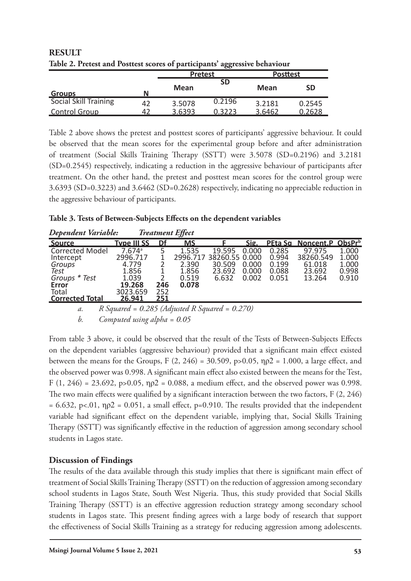|                              |    | $\mathbf{\sigma}\mathbf{\sigma}$<br><b>Pretest</b> |               | <b>Posttest</b> |           |
|------------------------------|----|----------------------------------------------------|---------------|-----------------|-----------|
| N<br><b>Groups</b>           |    | Mean                                               | <b>SD</b>     | <b>Mean</b>     | <b>SD</b> |
| <b>Social Skill Training</b> | 42 | 3.5078                                             | 0.2196        | 3.2181          | 0.2545    |
| <b>Control Group</b>         |    | 3.6393                                             | <u>).3223</u> | 3.6462          | 0.2628    |

**RESULT Table 2. Pretest and Posttest scores of participants' aggressive behaviour**

Table 2 above shows the pretest and posttest scores of participants' aggressive behaviour. It could be observed that the mean scores for the experimental group before and after administration of treatment (Social Skills Training Therapy (SSTT) were 3.5078 (SD=0.2196) and 3.2181 (SD=0.2545) respectively, indicating a reduction in the aggressive behaviour of participants after treatment. On the other hand, the pretest and posttest mean scores for the control group were 3.6393 (SD=0.3223) and 3.6462 (SD=0.2628) respectively, indicating no appreciable reduction in the aggressive behaviour of participants.

| Table 3. Tests of Between-Subjects Effects on the dependent variables |  |  |
|-----------------------------------------------------------------------|--|--|
|                                                                       |  |  |

| Dependent Variable:                                                                                                       |                                                                                                    | <b>Treatment Effect</b>   |                                                       |                                                       |                                  |                                           |                                                   |                                           |
|---------------------------------------------------------------------------------------------------------------------------|----------------------------------------------------------------------------------------------------|---------------------------|-------------------------------------------------------|-------------------------------------------------------|----------------------------------|-------------------------------------------|---------------------------------------------------|-------------------------------------------|
| <u>Source</u>                                                                                                             | <b>Type III SS</b>                                                                                 | Df                        | <u>MS</u>                                             |                                                       | Sig.                             |                                           | PEta Sq Noncent.P ObsPrb                          |                                           |
| <b>Corrected Model</b><br>Intercept<br>Groups<br>Test<br>Groups * Test<br><b>Error</b><br>Total<br><b>Corrected Total</b> | $7.674$ <sup>a</sup><br>2996.717<br>4.779<br>1.856<br>1.039<br>19.268<br>3023.659<br><u>26.941</u> | 246<br>252<br><u> 251</u> | 1.535<br>2996.717<br>2.390<br>1.856<br>0.519<br>0.078 | 19.595<br>38260.55 0.000<br>30.509<br>23.692<br>6.632 | 0.000<br>0.000<br>0.000<br>0.002 | 0.285<br>0.994<br>0.199<br>0.088<br>0.051 | 97.975<br>38260.549<br>61.018<br>23.692<br>13.264 | 1.000<br>1.000<br>1.000<br>0.998<br>0.910 |
|                                                                                                                           |                                                                                                    |                           |                                                       |                                                       |                                  |                                           |                                                   |                                           |

*a. R Squared = 0.285 (Adjusted R Squared = 0.270)*

*b. Computed using alpha = 0.05*

From table 3 above, it could be observed that the result of the Tests of Between-Subjects Effects on the dependent variables (aggressive behaviour) provided that a significant main effect existed between the means for the Groups, F  $(2, 246) = 30.509$ , p>0.05,  $np2 = 1.000$ , a large effect, and the observed power was 0.998. A significant main effect also existed between the means for the Test, F (1, 246) = 23.692, p>0.05,  $\eta p2 = 0.088$ , a medium effect, and the observed power was 0.998. The two main effects were qualified by a significant interaction between the two factors, F  $(2, 246)$  $= 6.632$ , p<.01,  $\eta \rho^2 = 0.051$ , a small effect, p=0.910. The results provided that the independent variable had significant effect on the dependent variable, implying that, Social Skills Training Therapy (SSTT) was significantly effective in the reduction of aggression among secondary school students in Lagos state.

# **Discussion of Findings**

The results of the data available through this study implies that there is significant main effect of treatment of Social Skills Training Therapy (SSTT) on the reduction of aggression among secondary school students in Lagos State, South West Nigeria. Thus, this study provided that Social Skills Training Therapy (SSTT) is an effective aggression reduction strategy among secondary school students in Lagos state. This present finding agrees with a large body of research that support the effectiveness of Social Skills Training as a strategy for reducing aggression among adolescents.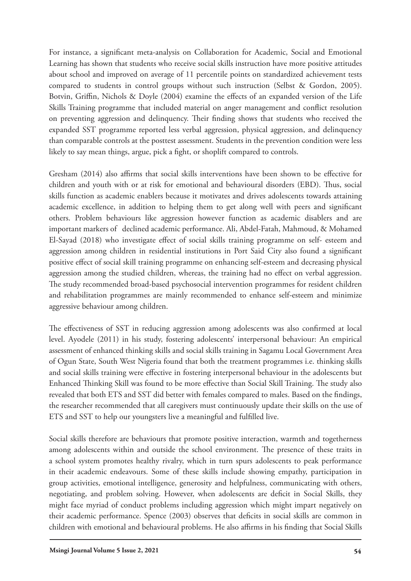For instance, a significant meta-analysis on Collaboration for Academic, Social and Emotional Learning has shown that students who receive social skills instruction have more positive attitudes about school and improved on average of 11 percentile points on standardized achievement tests compared to students in control groups without such instruction (Selbst & Gordon, 2005). Botvin, Griffin, Nichols & Doyle (2004) examine the effects of an expanded version of the Life Skills Training programme that included material on anger management and conflict resolution on preventing aggression and delinquency. Their finding shows that students who received the expanded SST programme reported less verbal aggression, physical aggression, and delinquency than comparable controls at the posttest assessment. Students in the prevention condition were less likely to say mean things, argue, pick a fight, or shoplift compared to controls.

Gresham (2014) also affirms that social skills interventions have been shown to be effective for children and youth with or at risk for emotional and behavioural disorders (EBD). Thus, social skills function as academic enablers because it motivates and drives adolescents towards attaining academic excellence, in addition to helping them to get along well with peers and significant others. Problem behaviours like aggression however function as academic disablers and are important markers of declined academic performance. Ali, Abdel-Fatah, Mahmoud, & Mohamed El-Sayad (2018) who investigate effect of social skills training programme on self- esteem and aggression among children in residential institutions in Port Said City also found a significant positive effect of social skill training programme on enhancing self-esteem and decreasing physical aggression among the studied children, whereas, the training had no effect on verbal aggression. The study recommended broad-based psychosocial intervention programmes for resident children and rehabilitation programmes are mainly recommended to enhance self-esteem and minimize aggressive behaviour among children.

The effectiveness of SST in reducing aggression among adolescents was also confirmed at local level. Ayodele (2011) in his study, fostering adolescents' interpersonal behaviour: An empirical assessment of enhanced thinking skills and social skills training in Sagamu Local Government Area of Ogun State, South West Nigeria found that both the treatment programmes i.e. thinking skills and social skills training were effective in fostering interpersonal behaviour in the adolescents but Enhanced Thinking Skill was found to be more effective than Social Skill Training. The study also revealed that both ETS and SST did better with females compared to males. Based on the findings, the researcher recommended that all caregivers must continuously update their skills on the use of ETS and SST to help our youngsters live a meaningful and fulfilled live.

Social skills therefore are behaviours that promote positive interaction, warmth and togetherness among adolescents within and outside the school environment. The presence of these traits in a school system promotes healthy rivalry, which in turn spurs adolescents to peak performance in their academic endeavours. Some of these skills include showing empathy, participation in group activities, emotional intelligence, generosity and helpfulness, communicating with others, negotiating, and problem solving. However, when adolescents are deficit in Social Skills, they might face myriad of conduct problems including aggression which might impart negatively on their academic performance. Spence (2003) observes that deficits in social skills are common in children with emotional and behavioural problems. He also affirms in his finding that Social Skills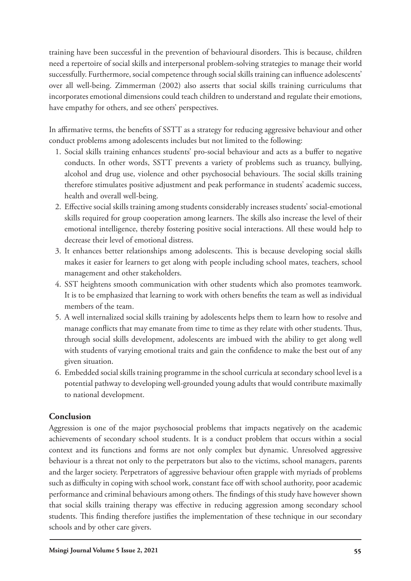training have been successful in the prevention of behavioural disorders. This is because, children need a repertoire of social skills and interpersonal problem-solving strategies to manage their world successfully. Furthermore, social competence through social skills training can influence adolescents' over all well-being. Zimmerman (2002) also asserts that social skills training curriculums that incorporates emotional dimensions could teach children to understand and regulate their emotions, have empathy for others, and see others' perspectives.

In affirmative terms, the benefits of SSTT as a strategy for reducing aggressive behaviour and other conduct problems among adolescents includes but not limited to the following:

- 1. Social skills training enhances students' pro-social behaviour and acts as a buffer to negative conducts. In other words, SSTT prevents a variety of problems such as truancy, bullying, alcohol and drug use, violence and other psychosocial behaviours. The social skills training therefore stimulates positive adjustment and peak performance in students' academic success, health and overall well-being.
- 2. Effective social skills training among students considerably increases students' social-emotional skills required for group cooperation among learners. The skills also increase the level of their emotional intelligence, thereby fostering positive social interactions. All these would help to decrease their level of emotional distress.
- 3. It enhances better relationships among adolescents. This is because developing social skills makes it easier for learners to get along with people including school mates, teachers, school management and other stakeholders.
- 4. SST heightens smooth communication with other students which also promotes teamwork. It is to be emphasized that learning to work with others benefits the team as well as individual members of the team.
- 5. A well internalized social skills training by adolescents helps them to learn how to resolve and manage conflicts that may emanate from time to time as they relate with other students. Thus, through social skills development, adolescents are imbued with the ability to get along well with students of varying emotional traits and gain the confidence to make the best out of any given situation.
- 6. Embedded social skills training programme in the school curricula at secondary school level is a potential pathway to developing well-grounded young adults that would contribute maximally to national development.

## **Conclusion**

Aggression is one of the major psychosocial problems that impacts negatively on the academic achievements of secondary school students. It is a conduct problem that occurs within a social context and its functions and forms are not only complex but dynamic. Unresolved aggressive behaviour is a threat not only to the perpetrators but also to the victims, school managers, parents and the larger society. Perpetrators of aggressive behaviour often grapple with myriads of problems such as difficulty in coping with school work, constant face off with school authority, poor academic performance and criminal behaviours among others. The findings of this study have however shown that social skills training therapy was effective in reducing aggression among secondary school students. This finding therefore justifies the implementation of these technique in our secondary schools and by other care givers.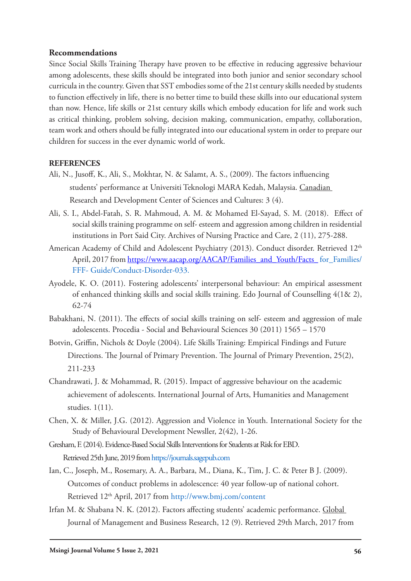#### **Recommendations**

Since Social Skills Training Therapy have proven to be effective in reducing aggressive behaviour among adolescents, these skills should be integrated into both junior and senior secondary school curricula in the country. Given that SST embodies some of the 21st century skills needed by students to function effectively in life, there is no better time to build these skills into our educational system than now. Hence, life skills or 21st century skills which embody education for life and work such as critical thinking, problem solving, decision making, communication, empathy, collaboration, team work and others should be fully integrated into our educational system in order to prepare our children for success in the ever dynamic world of work.

#### **REFERENCES**

- Ali, N., Jusoff, K., Ali, S., Mokhtar, N. & Salamt, A. S., (2009). The factors influencing students' performance at Universiti Teknologi MARA Kedah, Malaysia. Canadian Research and Development Center of Sciences and Cultures: 3 (4).
- Ali, S. I., Abdel-Fatah, S. R. Mahmoud, A. M. & Mohamed El-Sayad, S. M. (2018). Effect of social skills training programme on self- esteem and aggression among children in residential institutions in Port Said City. Archives of Nursing Practice and Care, 2 (11), 275-288.
- American Academy of Child and Adolescent Psychiatry (2013). Conduct disorder. Retrieved 12<sup>th</sup> April, 2017 from https://www.aacap.org/AACAP/Families\_and\_Youth/Facts\_ for\_Families/ FFF- Guide/Conduct-Disorder-033.
- Ayodele, K. O. (2011). Fostering adolescents' interpersonal behaviour: An empirical assessment of enhanced thinking skills and social skills training. Edo Journal of Counselling 4(1& 2), 62-74
- Babakhani, N. (2011). The effects of social skills training on self- esteem and aggression of male adolescents. Procedia - Social and Behavioural Sciences 30 (2011) 1565 – 1570
- Botvin, Griffin, Nichols & Doyle (2004). Life Skills Training: Empirical Findings and Future Directions. The Journal of Primary Prevention. The Journal of Primary Prevention, 25(2), 211-233
- Chandrawati, J. & Mohammad, R. (2015). Impact of aggressive behaviour on the academic achievement of adolescents. International Journal of Arts, Humanities and Management studies. 1(11).
- Chen, X. & Miller, J.G. (2012). Aggression and Violence in Youth. International Society for the Study of Behavioural Development Newsller, 2(42), 1-26.
- Gresham, F. (2014). Evidence-Based Social Skills Interventions for Students at Risk for EBD. Retrieved 25th June, 2019 from https://journals.sagepub.com
- Ian, C., Joseph, M., Rosemary, A. A., Barbara, M., Diana, K., Tim, J. C. & Peter B J. (2009). Outcomes of conduct problems in adolescence: 40 year follow-up of national cohort. Retrieved 12th April, 2017 from http://www.bmj.com/content
- Irfan M. & Shabana N. K. (2012). Factors affecting students' academic performance. Global Journal of Management and Business Research, 12 (9). Retrieved 29th March, 2017 from